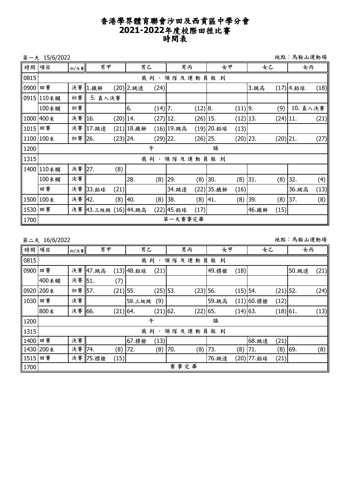## 香港學界體育聯會沙田及西貢區中學分會 **2021-2022**年度校際田徑比賽 時間表

第一天 15/6/2022 地點:馬鞍山運動場

| 時間   | 項目        | 初/決賽   | 男甲                   |            | 男乙              |            | 男丙          |             | 女甲          |             | 女乙        |             | 女丙         |      |
|------|-----------|--------|----------------------|------------|-----------------|------------|-------------|-------------|-------------|-------------|-----------|-------------|------------|------|
| 0815 |           |        |                      |            | 裁判、<br>領隊及運動員報到 |            |             |             |             |             |           |             |            |      |
| 0900 | 田賽        |        | 決賽 1.鐵餅              |            | (20) 2.跳遠       | (24)       |             |             |             |             | 3.跳高      |             | (17) 4. 鉛球 | (18) |
| 0915 | 110米欄     | 初賽     | 5. 直入決賽              |            |                 |            |             |             |             |             |           |             |            |      |
|      | 100米欄     | 初賽     |                      |            | 6.              | $(14)$ 7.  |             | $(12)$ 8.   |             | $(11)$  9.  |           | (9)         | 10. 直入決賽   |      |
|      | 1000 400米 | 決賽 16. |                      | $(20)$ 14. |                 | $(27)$ 12. |             | $(26)$ 15.  |             | $(12)$  13. |           | $(24)$  11. |            | (21) |
| 1015 | 田賽        |        | 決賽 17.跳遠             |            | (21) 18. 鐵餅     |            | (16) 19.跳高  |             | (19) 20. 鉛球 | (13)        |           |             |            |      |
|      | 1100 100米 | 初賽 26. |                      | $(23)$ 24. |                 | (29) 22.   |             | $(26)$  25. |             | $(20)$  23. |           | $(20)$  21. |            | (27) |
| 1200 |           |        |                      |            |                 | 午          |             |             | 膳           |             |           |             |            |      |
| 1315 |           |        |                      |            |                 |            | 裁判、領隊及運動員報到 |             |             |             |           |             |            |      |
| 1400 | 110米欄     | 決賽 27. |                      | (8)        |                 |            |             |             |             |             |           |             |            |      |
|      | 100米欄     | 決賽     |                      |            | 28.             | (8)        | 29.         | (8)         | 30.         |             | $(8)$ 31. | (8)         | 32.        | (4)  |
|      | 田賽        |        | 決賽 33.鉛球             | (21)       |                 |            | 34.跳遠       |             | (22) 35.鐵餅  | (16)        |           |             | 36.跳高      | (13) |
| 1500 | 100米      | 決賽 42. |                      | (8)        | 40.             | (8)        | 38.         | (8)         | 41.         |             | $(8)$ 39. | (8)         | 37.        | (8)  |
| 1530 | 田賽        |        | 決賽 43.三級跳 (16) 44.跳高 |            |                 |            | (22) 45. 鉛球 | (17)        |             |             | 46. 鐵餅    | (15)        |            |      |
| 1700 |           |        |                      |            |                 |            | 第一天賽事完畢     |             |             |             |           |             |            |      |

| 地點:馬鞍山運動場<br>第二天 16/6/2022 |                        |        |          |            |             |                    |     |            |       |            |             |            |       |      |
|----------------------------|------------------------|--------|----------|------------|-------------|--------------------|-----|------------|-------|------------|-------------|------------|-------|------|
| 時間 項目                      |                        | 初/決賽   |          | 男甲         |             | 男乙                 |     | 男丙         | 女甲    |            | 女乙          |            | 女丙    |      |
| 0815                       | 裁判<br>領隊及運動<br>員報<br>到 |        |          |            |             |                    |     |            |       |            |             |            |       |      |
| 0900                       | 田賽                     |        | 決賽 47.跳高 |            | (13) 48. 鉛球 | (21)               |     |            | 49.標槍 | (18)       |             |            | 50.跳遠 | (21) |
|                            | 400米欄                  | 決賽 51. |          | (7)        |             |                    |     |            |       |            |             |            |       |      |
|                            | 0920 200米              | 初賽 57. |          | $(21)$ 55. |             | $(25)$ 53.         |     | $(23)$ 56. |       | $(15)$ 54. |             | $(21)$ 52. |       | (24) |
| 1030                       | 田賽                     | 決賽     |          |            | 58.三級跳      | (9)                |     |            | 59.跳高 |            | (11) 60. 標槍 | (12)       |       |      |
|                            | 800米                   | 決賽 66. |          | $(21)$ 64. |             | $(21)$ 62.         |     | $(22)$ 65. |       | $(14)$ 63. |             | $(18)$ 61. |       | (13) |
| 1200                       |                        |        |          |            |             | 午                  |     |            | 膳     |            |             |            |       |      |
| 1315                       |                        |        |          |            |             | 裁判<br>$\mathbf{v}$ |     | 領隊及運動員報到   |       |            |             |            |       |      |
| 1400                       | 田賽                     | 決賽     |          |            | 67. 標槍      | (13)               |     |            |       |            | 68.跳遠       | (21)       |       |      |
|                            | 1430 200米              | 決賽 74. |          | (8)        | 72.         | (8)                | 70. | (8)        | 73.   | (8)        | 71.         | (8)        | 69.   | (8)  |
| 1515                       | 田賽                     |        | 決賽 75.標槍 | (15)       |             |                    |     |            | 76.跳遠 |            | (20) 77.鉛球  | (21)       |       |      |
| 1700                       |                        |        |          |            |             |                    |     | 賽事完畢       |       |            |             |            |       |      |